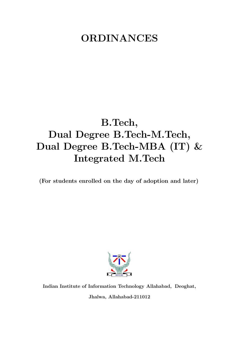## ORDINANCES

# B.Tech, Dual Degree B.Tech-M.Tech, Dual Degree B.Tech-MBA (IT) & Integrated M.Tech

(For students enrolled on the day of adoption and later)



Indian Institute of Information Technology Allahabad, Deoghat, Jhalwa, Allahabad-211012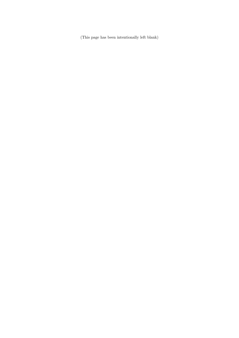(This page has been intentionally left blank)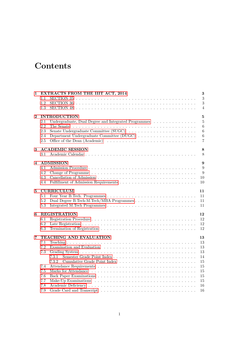### **Contents**

| 1.             | EXTRACTS FROM THE IIIT ACT, 2014                            | 3                |
|----------------|-------------------------------------------------------------|------------------|
|                | 1.1                                                         | $\boldsymbol{3}$ |
|                | 1.2                                                         | $\sqrt{3}$       |
|                | 1.3                                                         | $\overline{4}$   |
| $\bf{2}$       | <b>INTRODUCTION</b>                                         | 5                |
|                | Undergraduate, Dual Degree and Integrated Programmes<br>2.1 | $\overline{5}$   |
|                | 2.2                                                         | $6\phantom{.}6$  |
|                | 2.3                                                         | $\,6\,$          |
|                | Department Undergraduate Committee (DUGC)<br>2.4            | $\,6\,$          |
|                | 2.5                                                         | $\overline{7}$   |
| 3              | <b>ACADEMIC SESSION</b>                                     | 8                |
|                | 3.1                                                         | 8                |
|                |                                                             |                  |
| $\overline{4}$ | <b>ADMISSION</b>                                            | 9                |
|                | 4.1                                                         | 9                |
|                | 4.2                                                         | 9                |
|                | 4.3                                                         | 10               |
|                | 4.4                                                         | 10               |
| 5              | <b>CURRICULUM</b>                                           | 11               |
|                | 5.1                                                         | 11               |
|                | 5.2                                                         | 11               |
|                | 5.3                                                         | 11               |
|                |                                                             |                  |
| 6              | <b>REGISTRATION</b>                                         | 12               |
|                | 6.1                                                         | 12               |
|                | 6.2                                                         | 12               |
|                | 6.3                                                         | 12               |
| 7              | TEACHING AND EVALUATION                                     | 13               |
|                | 7.1                                                         | 13               |
|                | 7.2                                                         | 13               |
|                | 7.3                                                         | 13               |
|                | 7.3.1                                                       | 14               |
|                | 7.3.2                                                       | 15               |
|                | 7.4                                                         | 15               |
|                | 7.5                                                         | 15               |
|                | 7.6                                                         | 15               |
|                | 7.7                                                         | 15               |
|                | 7.8                                                         | 16               |
|                | 7.9                                                         | 16               |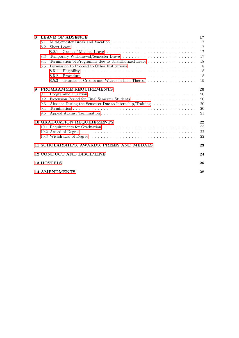| 8                                                | <b>LEAVE OF ABSENCE</b><br>17 |                                                         |    |  |  |  |
|--------------------------------------------------|-------------------------------|---------------------------------------------------------|----|--|--|--|
|                                                  | 8.1                           |                                                         | 17 |  |  |  |
|                                                  | 8.2                           |                                                         | 17 |  |  |  |
|                                                  |                               | 8.2.1                                                   | 17 |  |  |  |
|                                                  | 8.3                           |                                                         | 17 |  |  |  |
|                                                  | 8.4                           | Termination of Programme due to Unauthorized Leave      | 18 |  |  |  |
|                                                  | 8.5                           |                                                         | 18 |  |  |  |
|                                                  |                               | 8.5.1                                                   | 18 |  |  |  |
|                                                  |                               | 8.5.2                                                   | 18 |  |  |  |
|                                                  |                               | Transfer of Credits and Waiver in Lieu Thereof<br>8.5.3 | 19 |  |  |  |
| 9                                                |                               | PROGRAMME REQUIREMENTS                                  | 20 |  |  |  |
|                                                  | 9.1                           |                                                         | 20 |  |  |  |
|                                                  | 9.2                           |                                                         | 20 |  |  |  |
|                                                  | 9.3                           | Absence During the Semester Due to Internship/Training  | 20 |  |  |  |
|                                                  | 9.4                           |                                                         | 20 |  |  |  |
|                                                  | 9.5                           |                                                         | 21 |  |  |  |
| <b>10 GRADUATION REQUIREMENTS</b>                |                               |                                                         |    |  |  |  |
|                                                  |                               |                                                         | 22 |  |  |  |
|                                                  |                               |                                                         | 22 |  |  |  |
|                                                  |                               |                                                         | 22 |  |  |  |
| 11 SCHOLARSHIPS, AWARDS, PRIZES AND MEDALS<br>23 |                               |                                                         |    |  |  |  |
|                                                  |                               | <b>12 CONDUCT AND DISCIPLINE</b>                        | 24 |  |  |  |
|                                                  | <b>13 HOSTELS</b>             |                                                         |    |  |  |  |
|                                                  | <b>14 AMENDMENTS</b>          |                                                         |    |  |  |  |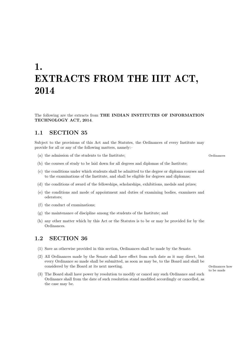## <span id="page-4-0"></span>1. EXTRACTS FROM THE IIIT ACT, 2014

The following are the extracts from THE INDIAN INSTITUTES OF INFORMATION TECHNOLOGY ACT, 2014.

### <span id="page-4-1"></span>1.1 SECTION 35

Subject to the provisions of this Act and the Statutes, the Ordinances of every Institute may provide for all or any of the following matters, namely:–

- (a) the admission of the students to the Institute; Ordinances
- (b) the courses of study to be laid down for all degrees and diplomas of the Institute;
- (c) the conditions under which students shall be admitted to the degree or diploma courses and to the examinations of the Institute, and shall be eligible for degrees and diplomas;
- (d) the conditions of award of the fellowships, scholarships, exhibitions, medals and prizes;
- (e) the conditions and mode of appointment and duties of examining bodies, examiners and oderators;
- (f) the conduct of examinations;
- (g) the maintenance of discipline among the students of the Institute; and
- (h) any other matter which by this Act or the Statutes is to be or may be provided for by the Ordinances.

#### <span id="page-4-2"></span>1.2 SECTION 36

- (1) Save as otherwise provided in this section, Ordinances shall be made by the Senate.
- (2) All Ordinances made by the Senate shall have effect from such date as it may direct, but every Ordinance so made shall be submitted, as soon as may be, to the Board and shall be considered by the Board at its next meeting. Ordinances how

to be made

(3) The Board shall have power by resolution to modify or cancel any such Ordinance and such Ordinance shall from the date of such resolution stand modified accordingly or cancelled, as the case may be.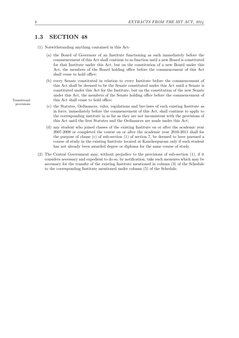#### <span id="page-5-0"></span>1.3 SECTION 48

- (1) Notwithstanding anything contained in this Act-
	- (a) the Board of Governors of an Institute functioning as such immediately before the commencement of this Act shall continue to so function until a new Board is constituted for that Institute under this Act, but on the constitution of a new Board under this Act, the members of the Board holding office before the commencement of this Act shall cease to hold office;
- (b) every Senate constituted in relation to every Institute before the commencement of this Act shall be deemed to be the Senate constituted under this Act until a Senate is constituted under this Act for the Institute, but on the constitution of the new Senate under this Act, the members of the Senate holding office before the commencement of Transitional this Act shall cease to hold office;<br>provisions
	- provisions (c) the Statutes, Ordinances, rules, regulations and bye-laws of each existing Institute as in force, immediately before the commencement of this Act, shall continue to apply to the corresponding institute in so far as they are not inconsistent with the provisions of this Act until the first Statutes and the Ordinances are made under this Act;
	- (d) any student who joined classes of the existing Institute on or after the academic year 2007-2008 or completed the course on or after the academic year 2010-2011 shall for the purpose of clause (c) of sub-section (1) of section 7, be deemed to have pursued a course of study in the existing Institute located at Kancheepuram only if such student has not already been awarded degree or diploma for the same course of study.
	- (2) The Central Government may, without prejudice to the provisions of sub-section (1), if it considers necessary and expedient to do so, by notification, take such measures which may be necessary for the transfer of the existing Institute mentioned in column (3) of the Schedule to the corresponding Institute mentioned under column (5) of the Schedule.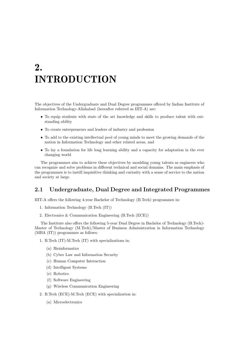# <span id="page-6-0"></span>2. INTRODUCTION

The objectives of the Undergraduate and Dual Degree programmes offered by Indian Institute of Information Technology-Allahabad (hereafter referred as IIIT-A) are:

- To equip students with state of the art knowledge and skills to produce talent with outstanding ability
- To create entrepreneurs and leaders of industry and profession
- To add to the existing intellectual pool of young minds to meet the growing demands of the nation in Information Technology and other related areas, and
- To lay a foundation for life long learning ability and a capacity for adaptation in the ever changing world

The programmes aim to achieve these objectives by moulding young talents as engineers who can recognize and solve problems in different technical and social domains. The main emphasis of the programmes is to instill inquisitive thinking and curiosity with a sense of service to the nation and society at large.

#### <span id="page-6-1"></span>2.1 Undergraduate, Dual Degree and Integrated Programmes

IIIT-A offers the following 4-year Bachelor of Technology (B.Tech) programmes in:

- 1. Information Technology (B.Tech (IT))
- 2. Electronics & Communication Engineering (B.Tech (ECE))

The Institute also offers the following 5-year Dual Degree in Bachelor of Technology (B.Tech)- Master of Technology (M.Tech)/Master of Business Administration in Information Technology (MBA (IT)) programmes as follows:

1. B.Tech (IT)-M.Tech (IT) with specializations in:

- (a) Bioinformatics
- (b) Cyber Law and Information Security
- (c) Human Computer Interaction
- (d) Intelligent Systems
- (e) Robotics
- (f) Software Engineering
- (g) Wireless Communication Engineering
- 2. B.Tech (ECE)-M.Tech (ECE) with specialization in:
	- (a) Microelectronics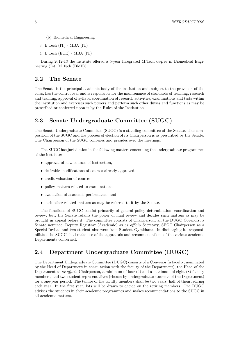- (b) Biomedical Engineering
- 3. B.Tech (IT) MBA (IT)
- 4. B.Tech (ECE) MBA (IT)

During 2012-13 the institute offered a 5-year Integrated M.Tech degree in Biomedical Engineering (Int. M.Tech (BME)).

#### <span id="page-7-0"></span>2.2 The Senate

The Senate is the principal academic body of the institution and, subject to the provision of the rules, has the control over and is responsible for the maintenance of standards of teaching, research and training, approval of syllabi, coordination of research activities, examinations and tests within the institution and exercises such powers and perform such other duties and functions as may be prescribed or conferred upon it by the Rules of the Institution.

#### <span id="page-7-1"></span>2.3 Senate Undergraduate Committee (SUGC)

The Senate Undergraduate Committee (SUGC) is a standing committee of the Senate. The composition of the SUGC and the process of election of its Chairperson is as prescribed by the Senate. The Chairperson of the SUGC convenes and presides over the meetings.

The SUGC has jurisdiction in the following matters concerning the undergraduate programmes of the institute:

- approval of new courses of instruction,
- desirable modifications of courses already approved,
- credit valuation of courses,
- policy matters related to examinations,
- evaluation of academic performance, and
- such other related matters as may be referred to it by the Senate.

The functions of SUGC consist primarily of general policy determination, coordination and review, but, the Senate retains the power of final review and decides such matters as may be brought in appeal before it. The committee consists of Chairperson, all the DUGC Covenors, a Senate nominee, Deputy Registrar (Academic) as ex officio Secretary, SPGC Chairperson as a Special Invitee and two student observers from Student Gymkhana. In discharging its responsibilities, the SUGC shall make use of the appraisals and recommendations of the various academic Departments concerned.

#### <span id="page-7-2"></span>2.4 Department Undergraduate Committee (DUGC)

The Department Undergraduate Committee (DUGC) consists of a Convenor (a faculty, nominated by the Head of Department in consultation with the faculty of the Department), the Head of the Department as  $ex$  officio Chairperson, a minimum of four  $(4)$  and a maximum of eight  $(8)$  faculty members, and two student representatives (chosen by undergraduate students of the Department) for a one-year period. The tenure of the faculty members shall be two years, half of them retiring each year. In the first year, lots will be drawn to decide on the retiring members. The DUGC advises the students in their academic programmes and makes recommendations to the SUGC in all academic matters.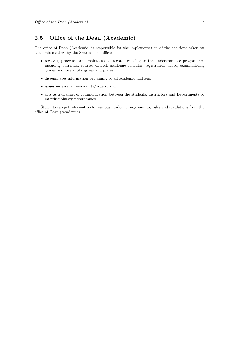### <span id="page-8-0"></span>2.5 Office of the Dean (Academic)

The office of Dean (Academic) is responsible for the implementation of the decisions taken on academic matters by the Senate. The office:

- receives, processes and maintains all records relating to the undergraduate programmes including curricula, courses offered, academic calendar, registration, leave, examinations, grades and award of degrees and prizes,
- disseminates information pertaining to all academic matters,
- issues necessary memoranda/orders, and
- acts as a channel of communication between the students, instructors and Departments or interdisciplinary programmes.

Students can get information for various academic programmes, rules and regulations from the office of Dean (Academic).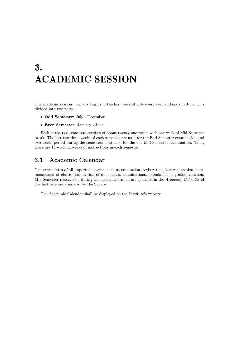# <span id="page-9-0"></span>3. ACADEMIC SESSION

The academic session normally begins in the first week of July every year and ends in June. It is divided into two parts:

- Odd Semester: July December
- Even Semester: January June

Each of the two semesters consists of about twenty one weeks with one week of Mid-Semester break. The last two-three weeks of each semester are used for the End Semester examination and two weeks period during the semesters is utilized for the one Mid Semester examination. Thus, there are 14 working weeks of instructions in each semester.

#### <span id="page-9-1"></span>3.1 Academic Calendar

The exact dates of all important events, such as orientation, registration, late registration, commencement of classes, submission of documents, examinations, submission of grades, vacation, Mid-Semester recess, etc., during the academic session are specified in the Academic Calendar of the Institute are approved by the Senate.

The Academic Calendar shall be displayed on the Institute's website.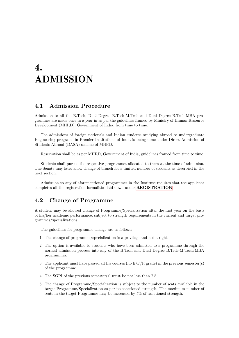### <span id="page-10-0"></span>4. ADMISSION

#### <span id="page-10-1"></span>4.1 Admission Procedure

Admission to all the B.Tech, Dual Degree B.Tech-M.Tech and Dual Degree B.Tech-MBA programmes are made once in a year in as per the guidelines framed by Ministry of Human Resource Development (MHRD), Government of India, from time to time.

The admissions of foreign nationals and Indian students studying abroad to undergraduate Engineering programs in Premier Institutions of India is being done under Direct Admission of Students Abroad (DASA) scheme of MHRD.

Reservation shall be as per MHRD, Government of India, guidelines framed from time to time.

Students shall pursue the respective programmes allocated to them at the time of admission. The Senate may later allow change of branch for a limited number of students as descrbied in the next section.

Admission to any of aforementioned programmes in the Institute requires that the applicant completes all the registration formalities laid down under [REGISTRATION](#page-13-0).

### <span id="page-10-2"></span>4.2 Change of Programme

A student may be allowed change of Programme/Specialization after the first year on the basis of his/her academic performance, subject to strength requirements in the current and target programmes/specializations.

The guidelines for programme change are as follows:

- 1. The change of programme/specialization is a privilege and not a right.
- 2. The option is available to students who have been admitted to a programme through the normal admission process into any of the B.Tech and Dual Degree B.Tech-M.Tech/MBA programmes.
- 3. The applicant must have passed all the courses (no  $E/F/R$  grade) in the previous semester(s) of the programme.
- 4. The SGPI of the previous semester(s) must be not less than 7.5.
- 5. The change of Programme/Specialization is subject to the number of seats available in the target Programme/Specialization as per its sanctioned strength. The maximum number of seats in the target Programme may be increased by 5% of sanctioned strength.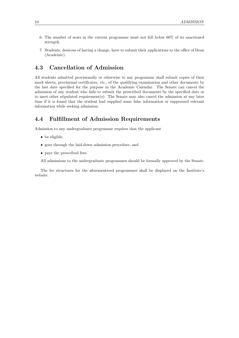- 6. The number of seats in the current programme must not fall below 60% of its sanctioned strength.
- 7. Students, desirous of having a change, have to submit their applications to the office of Dean (Academic).

### <span id="page-11-0"></span>4.3 Cancellation of Admission

All students admitted provisionally or otherwise to any programme shall submit copies of their mark sheets, provisional certificates, etc., of the qualifying examination and other documents by the last date specified for the purpose in the Academic Calendar. The Senate can cancel the admission of any student who fails to submit the prescribed documents by the specified date or to meet other stipulated requirement(s). The Senate may also cancel the admission at any later time if it is found that the student had supplied some false information or suppressed relevant information while seeking admission.

#### <span id="page-11-1"></span>4.4 Fulfillment of Admission Requirements

Admission to any undergraduate programme requires that the applicant

- be eligible,
- goes through the laid-down admission procedure, and
- pays the prescribed fees.

All admissions to the undergraduate programmes should be formally approved by the Senate.

The fee structures for the aforementioed programmes shall be displayed on the Institute's website.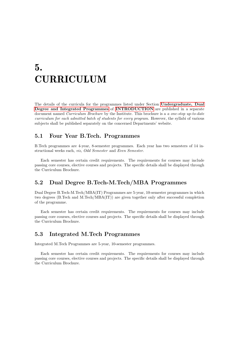### <span id="page-12-0"></span>5. CURRICULUM

The details of the curricula for the programmes listed under Section [Undergraduate, Dual](#page-6-1) [Degree and Integrated Programmes](#page-6-1) of [INTRODUCTION](#page-6-0) are published in a separate document named *Curriculum Brochure* by the Institute. This brochure is a a one-stop up-to-date curriculum for each admitted batch of students for every program. However, the syllabi of various subjects shall be published separately on the concerned Departments' website.

#### <span id="page-12-1"></span>5.1 Four Year B.Tech. Programmes

B.Tech programmes are 4-year, 8-semester programmes. Each year has two semesters of 14 instructional weeks each, viz, Odd Semester and Even Semester.

Each semester has certain credit requirements. The requirements for courses may include passing core courses, elective courses and projects. The specific details shall be displayed through the Curriculum Brochure.

#### <span id="page-12-2"></span>5.2 Dual Degree B.Tech-M.Tech/MBA Programmes

Dual Degree B.Tech-M.Tech/MBA(IT) Programmes are 5-year, 10-semester programmes in which two degrees (B.Tech and M.Tech/MBA(IT)) are given together only after successful completion of the programme.

Each semester has certain credit requirements. The requirements for courses may include passing core courses, elective courses and projects. The specific details shall be displayed through the Curriculum Brochure.

#### <span id="page-12-3"></span>5.3 Integrated M.Tech Programmes

Integrated M.Tech Programmes are 5-year, 10-semester programmes.

Each semester has certain credit requirements. The requirements for courses may include passing core courses, elective courses and projects. The specific details shall be displayed through the Curriculum Brochure.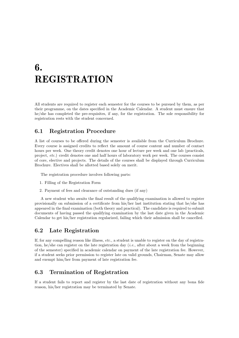# <span id="page-13-0"></span>6. REGISTRATION

All students are required to register each semester for the courses to be pursued by them, as per their programme, on the dates specified in the Academic Calendar. A student must ensure that he/she has completed the pre-requisites, if any, for the registration. The sole responsibility for registration rests with the student concerned.

### <span id="page-13-1"></span>6.1 Registration Procedure

A list of courses to be offered during the semester is available from the Curriculum Brochure. Every course is assigned credits to reflect the amount of course content and number of contact hours per week. One theory credit denotes one hour of lecture per week and one lab (practicals, project, etc.) credit denotes one and half hours of laboratory work per week. The courses consist of core, elective and projects. The details of the courses shall be displayed through Curriculum Brochure. Electives shall be allotted based solely on merit.

The registration procedure involves following parts:

- 1. Filling of the Registration Form
- 2. Payment of fees and clearance of outstanding dues (if any)

A new student who awaits the final result of the qualifying examination is allowed to register provisionally on submission of a certificate from his/her last institution stating that he/she has appeared in the final examination (both theory and practical). The candidate is required to submit documents of having passed the qualifying examination by the last date given in the Academic Calendar to get his/her registration regularized, failing which their admission shall be cancelled.

#### <span id="page-13-2"></span>6.2 Late Registration

If, for any compelling reason like illness, etc., a student is unable to register on the day of registration, he/she can register on the late registration day (*i.e.*, after about a week from the beginning of the semester) specified in academic calendar on payment of the late registration fee. However, if a student seeks prior permission to register late on valid grounds, Chairman, Senate may allow and exempt him/her from payment of late registration fee.

#### <span id="page-13-3"></span>6.3 Termination of Registration

If a student fails to report and register by the last date of registration without any bona fide reason, his/her registration may be terminated by Senate.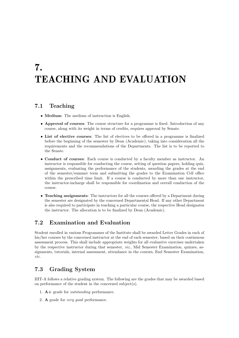# <span id="page-14-0"></span>7. TEACHING AND EVALUATION

### <span id="page-14-1"></span>7.1 Teaching

- Medium: The medium of instruction is English.
- Approval of courses: The course structure for a programme is fixed. Introduction of any course, along with its weight in terms of credits, requires approval by Senate.
- List of elective courses: The list of electives to be offered in a programme is finalized before the beginning of the semester by Dean (Academic), taking into consideration all the requirements and the recommendations of the Departments. The list is to be reported to the Senate.
- Conduct of courses: Each course is conducted by a faculty member as instructor. An instructor is responsible for conducting the course, setting of question papers, holding quiz, assignments, evaluating the performance of the students, awarding the grades at the end of the semester/summer term and submitting the grades to the Examination Cell office within the prescribed time limit. If a course is conducted by more than one instructor, the instructor-incharge shall be responsible for coordination and overall conduction of the course.
- Teaching assignments: The instructors for all the courses offered by a Department during the semester are designated by the concerned Departmental Head. If any other Department is also required to participate in teaching a particular course, the respective Head designates the instructor. The allocation is to be finalized by Dean (Academic).

### <span id="page-14-2"></span>7.2 Examination and Evaluation

Student enrolled in various Programmes of the Institute shall be awarded Letter Grades in each of his/her courses by the concerned instructor at the end of each semester, based on their continuous assessment process. This shall include appropriate weights for all evaluative exercises undertaken by the respective instructor during that semester, viz., Mid Semester Examination, quizzes, assignments, tutorials, internal assessment, attendance in the courses, End Semester Examination, etc.

### <span id="page-14-3"></span>7.3 Grading System

IIIT-A follows a relative grading system. The following are the grades that may be awarded based on performance of the student in the concerned subject(s).

- 1.  $A+$  grade for *outstanding* performance.
- 2. A grade for very good performance.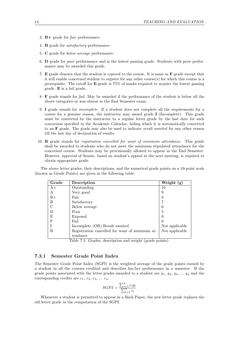- 3. B+ grade for fair performance.
- 4. B grade for satisfactory performance.
- 5. C grade for below average performance.
- 6. D grade for poor performance and is the lowest passing grade. Students with poor performance may be awarded this grade.
- 7. E grade denotes that the student is exposed to the course. It is same as F grade except that it will enable concerned student to register for any other course(s) for which this course is a prerequisite. The cutoff for E-grade is 75% of marks required to acquire the lowest passing grade. E is a fail grade.
- 8. F grade stands for fail. May be awarded if the performance of the student is below all the above categories or was absent in the End Semester exam.
- 9. I grade stands for incomplete. If a student does not complete all the requirements for a course for a genuine reason, the instructor may award grade I (Incomplete). This grade must be converted by the instructor to a regular letter grade by the last date for such conversion specified in the Academic Calendar, failing which it is automatically converted to an **F** grade. The grade may also be used to indicate *result awaited* for any other reason till the last day of declaration of results.
- 10. R grade stands for registration cancelled for want of minimum attendance. This grade shall be awarded to students who do not meet the minimum stipulated attendance for the concerned course. Students may be provisionally allowed to appear in the End Semester. However, approval of Senate, based on student's appeal in the next meeting, is required to obtain appropriate grade.

The above letter grades, their descriptions, and the numerical grade points on a 10-point scale (known as Grade Points) are given in the following table:

| Grade | Description                                    | Weight<br>(g)    |
|-------|------------------------------------------------|------------------|
| $A+$  | Outstanding                                    | 10               |
| А     | Very good                                      | 9                |
| $B+$  | Fair                                           | 8                |
| Β     | Satisfactory                                   |                  |
| С     | Below average                                  | 6                |
| Ð     | Poor                                           | 5                |
| E     | Exposed                                        | $\left( \right)$ |
| F     | Fail                                           | 0                |
|       | Incomplete (OR) Result awaited                 | Not applicable   |
| R     | Registration cancelled for want of minimum at- | Not applicable   |
|       | tendance                                       |                  |

Table 7.1: Grades, description and weight (grade points)

#### <span id="page-15-0"></span>7.3.1 Semester Grade Point Index

The Semester Grade Point Index (SGPI) is the weighted average of the grade points earned by a student in all the courses credited and describes his/her performance in a semester. If the grade points associated with the letter grades awarded to a student are  $g_1, g_2, g_3, \ldots g_n$  and the corresponding credits are  $c_1$ ,  $c_2$ ,  $c_3$ , ...  $c_n$ :

$$
SGPI = \frac{\sum_{i=1}^{n} c_i g_i}{\sum_{i=1}^{n} c_i}
$$

Whenever a student is permitted to appear in a Back Paper, the new letter grade replaces the old letter grade in the computation of the SGPI.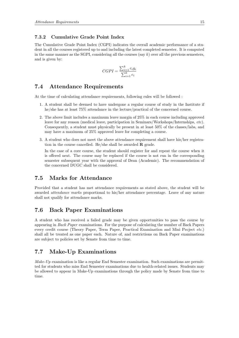#### <span id="page-16-0"></span>7.3.2 Cumulative Grade Point Index

The Cumulative Grade Point Index (CGPI) indicates the overall academic performance of a student in all the courses registered up to and including the latest completed semester. It is computed in the same manner as the SGPI, considering all the courses (say  $k$ ) over all the previous semesters, and is given by:

$$
CGPI = \frac{\sum_{i=1}^{k} c_i g_i}{\sum_{i=1}^{k} c_i}
$$

#### <span id="page-16-1"></span>7.4 Attendance Requirements

At the time of calculating attendance requirements, following rules will be followed :

- 1. A student shall be deemed to have undergone a regular course of study in the Institute if he/she has at least 75% attendance in the lecture/practical of the concerned course.
- 2. The above limit includes a maximum leave margin of 25% in each course including approved leave for any reason (medical leave, participation in Seminars/Workshops/Internships, etc). Consequently, a student must physically be present in at least 50% of the classes/labs, and may have a maximum of 25% approved leave for completing a course.
- 3. A student who does not meet the above attendance requirement shall have his/her registration in the course cancelled. He/she shall be awarded  $\bf{R}$  grade.

In the case of a core course, the student should register for and repeat the course when it is offered next. The course may be replaced if the course is not run in the corresponding semester subsequent year with the approval of Dean (Academic). The recommendation of the concerned DUGC shall be considered.

#### <span id="page-16-2"></span>7.5 Marks for Attendance

Provided that a student has met attendance requirements as stated above, the student will be awarded attendance marks proportional to his/her attendance percentage. Leave of any nature shall not qualify for attendance marks.

#### <span id="page-16-3"></span>7.6 Back Paper Examinations

A student who has received a failed grade may be given opportunities to pass the course by appearing in Back Paper examinations. For the purpose of calculating the number of Back Papers every credit course (Theory Paper, Term Paper, Practical Examination and Mini Project etc.) shall all be treated as one paper each. Nature of, and restrictions on Back Paper examinations are subject to policies set by Senate from time to time.

### <span id="page-16-4"></span>7.7 Make-Up Examinations

Make-Up examination is like a regular End Semester examination. Such examinations are permitted for students who miss End Semester examinations due to health-related issues. Students may be allowed to appear in Make-Up examinations through the policy made by Senate from time to time.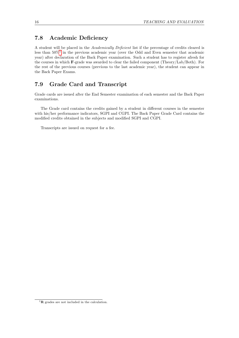### <span id="page-17-0"></span>7.8 Academic Deficiency

A student will be placed in the Academically Deficient list if the percentage of credits cleared is less than  $50\%$ <sup>[1](#page-17-2)</sup> in the previous academic year (over the Odd and Even semester that academic year) after declaration of the Back Paper examination. Such a student has to register afresh for the courses in which F-grade was awarded to clear the failed component (Theory/Lab/Both). For the rest of the previous courses (previous to the last academic year), the student can appear in the Back Paper Exams.

### <span id="page-17-1"></span>7.9 Grade Card and Transcript

Grade cards are issued after the End Semester examination of each semester and the Back Paper examinations.

The Grade card contains the credits gained by a student in different courses in the semester with his/her performance indicators, SGPI and CGPI. The Back Paper Grade Card contains the modified credits obtained in the subjects and modified SGPI and CGPI.

Transcripts are issued on request for a fee.

<span id="page-17-2"></span> ${}^{1}\mathbf{R}$  grades are not included in the calculation.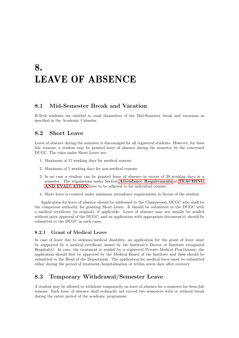# <span id="page-18-0"></span>8. LEAVE OF ABSENCE

#### <span id="page-18-1"></span>8.1 Mid-Semester Break and Vacation

B.Tech students are entitled to avail themselves of the Mid-Semester break and vacations as specified in the Academic Calendar.

### <span id="page-18-2"></span>8.2 Short Leave

Leave of absence during the semester is discouraged for all registered students. However, for bona fide reasons, a student may be granted leave of absence during the semester by the concerned DUGC. The rules under Short Leave are:

- 1. Maximum of 15 working days for medical reasons
- 2. Maximum of 5 working days for non-medical reasons
- 3. In no case a student can be granted leave of absence in excess of 20 working days in a semester. The stipulations under Section [Attendance Requirements](#page-16-1) of [TEACHING](#page-14-0) [AND EVALUATION](#page-14-0) have to be adhered to for individual courses.
- 4. Short leave is counted under minimum attendence requirements in favour of the student.

Application for leave of absence should be addressed to the Chairperson, DUGC who shall be the competent authority for granting Short Leave. It should be submitted to the DUGC with a medical certificate (in original), if applicable. Leave of absence may not usually be availed without prior approval of the DUGC, and an application with appropriate document(s) should be submitted to the DUGC in such cases.

#### <span id="page-18-3"></span>8.2.1 Grant of Medical Leave

In case of leave due to sickness/medical disability, an application for the grant of leave must be supported by a medical certificate issued by the Institute's Doctor or Institute recognized Hospital(s). In case, the treatment is availed by a registered Private Medical Practitioner, the application should first be approved by the Medical Board of the Institute and then should be submitted to the Head of the Department. The application for medical leave must be submitted either during the period of treatment/hospitalization or within seven days after recovery.

### <span id="page-18-4"></span>8.3 Temporary Withdrawal/Semester Leave

A student may be allowed to withdraw temporarily on leave of absence for a semester for bona fide reasons. Such leave of absence shall ordinarily not exceed two semesters with or without break during the entire period of the academic programme.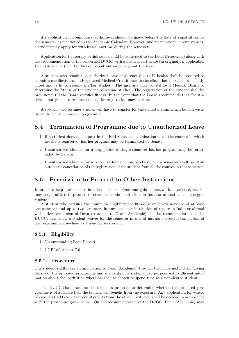An application for temporary withdrawal should be made before the date of registration for the semester as mentioned in the Academic Calendar. However, under exceptional circumstances, a student may apply for withdrawal anytime during the semester.

Application for temporary withdrawal should be addressed to the Dean (Academic) along with the recommendation of the concerned DUGC with a medical certificate (in original), if applicable. Dean (Academic) will be the competent authority to grant the leave.

A student who remains on authorized leave of absence due to ill health shall be required to submit a certificate from a Registered Medical Practitioner to the effect that she/he is sufficiently cured and is fit to resume his/her studies. The institute may constitute a Medical Board to determine the fitness of the student to resume studies. The registration of the student shall be provisional till the Board certifies fitness. In the event that the Board recommends that the student is not yet fit to resume studies, the registration may be cancelled.

A student who resumes studies will have to register for the semester from which he had withdrawn to continue his/her programme.

#### <span id="page-19-0"></span>8.4 Termination of Programme due to Unauthorized Leave

- 1. If a student does not appear in the End Semester examination of all the courses in which he/she is registered, his/her program may be terminated by Senate.
- 2. Unauthorized absence for a long period during a semester his/her program may be terminated by Senate.
- 3. Unauthorized absence for a period of four or more weeks during a semester shall result in automatic cancellation of the registration of the student from all the courses in that semester.

#### <span id="page-19-1"></span>8.5 Permission to Proceed to Other Institutions

In order to help a student to broaden his/her horizon and gain course/work experience, he/she may be permitted to proceed to other academic institutions in India or abroad as a non-degree student.

A student who satisfies the minimum eligibility conditions given below may spend at least one semester and up to two semesters in any academic institution of repute in India or abroad with prior permission of Dean (Academic). Dean (Academic), on the recommendation of the DUGC, may allow a student waiver for the semester in lieu of his/her successful completion of the programme elsewhere as a non-degree student.

#### <span id="page-19-2"></span>8.5.1 Eligibility

- 1. No outstanding Back Papers,
- 2. CGPI of at least 7.0

#### <span id="page-19-3"></span>8.5.2 Procedure

The student shall make an application to Dean (Academic) through the concerned DUGC, giving details of the proposed programme and shall submit a statement of purpose with sufficient information about the institution where he/she has chosen to spend time as a non-degree student.

The DUGC shall examine the student's proposal to determine whether the proposed programme is of a nature that the student will benefit from the exposure. Any application for waiver of credits at IIIT-A or transfer of credits from the other institution shall be decided in accordance with the procedure given below. On the recommendation of the DUGC, Dean (Academic) may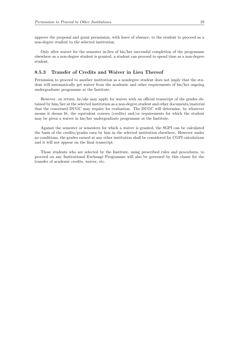Only after waiver for the semester in-lieu of his/her successful completion of the programme elsewhere as a non-degree student is granted, a student can proceed to spend time as a non-degree student.

#### <span id="page-20-0"></span>8.5.3 Transfer of Credits and Waiver in Lieu Thereof

Permission to proceed to another institution as a nondegree student does not imply that the student will automatically get waiver from the academic and other requirements of his/her ongoing undergraduate programme at the Institute.

However, on return, he/she may apply for waiver with an official transcript of the grades obtained by him/her at the selected institution as a non-degree student and other documents/material that the concerned DUGC may require for evaluation. The DUGC will determine, by whatever means it deems fit, the equivalent courses (credits) and/or requirements for which the student may be given a waiver in his/her undergraduate programme at the Institute.

Against the semester or semesters for which a waiver is granted, the SGPI can be calculated the basis of the credits/grades earn by him in the selected institution elsewhere. However under no conditions, the grades earned at any other institution shall be considered for CGPI calculations and it will not appear on the final transcript.

Those students who are selected by the Institute, using prescribed rules and procedures, to proceed on any Institutional Exchange Programme will also be governed by this clause for the transfer of academic credits, waiver, etc.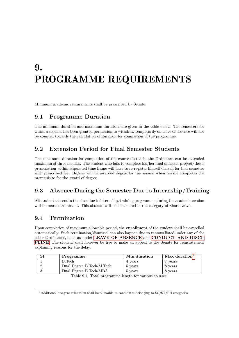# <span id="page-21-0"></span>9. PROGRAMME REQUIREMENTS

Minimum academic requirements shall be prescribed by Senate.

### <span id="page-21-1"></span>9.1 Programme Duration

The minimum duration and maximum durations are given in the table below. The semesters for which a student has been granted permission to withdraw temporarily on leave of absence will not be counted towards the calculation of duration for completion of the programme.

### <span id="page-21-2"></span>9.2 Extension Period for Final Semester Students

The maximum duration for completion of the courses listed in the Ordinance can be extended maximum of three months. The student who fails to complete his/her final semester project/thesis presentation within stipulated time frame will have to re-register himself/herself for that semester with prescribed fee. He/she will be awarded degree for the session when he/she completes the prerequisite for the award of degree.

### <span id="page-21-3"></span>9.3 Absence During the Semester Due to Internship/Training

All students absent in the class due to internship/training programme, during the academic session will be marked as absent. This absence will be considered in the category of Short Leave.

### <span id="page-21-4"></span>9.4 Termination

Upon completion of maximum allowable period, the enrollment of the student shall be cancelled automatically. Such termination/dismissal can also happen due to reasons listed under any of the other Ordinances, such as under [LEAVE OF ABSENCE](#page-18-0) and [CONDUCT AND DISCI-](#page-25-0)[PLINE](#page-25-0). The student shall however be free to make an appeal to the Senate for reinstatement explaining reasons for the delay.

| Sl | Programme                   | Min duration | Max duration <sup>1</sup> |
|----|-----------------------------|--------------|---------------------------|
|    | B.Tech                      | 4 years      | vears                     |
|    | Dual Degree B. Tech-M. Tech | 5 years      | 8 years                   |
|    | Dual Degree B.Tech-MBA      | 5 years      | 8 years                   |

Table 9.1: Total programme length for various courses

<span id="page-21-5"></span><sup>&</sup>lt;sup>1</sup>Additional one year relaxation shall be allowable to candidates belonging to SC/ST/PH categories.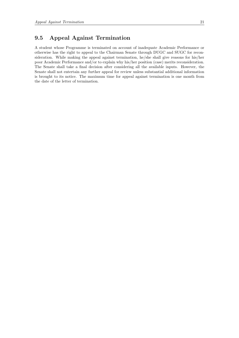### <span id="page-22-0"></span>9.5 Appeal Against Termination

A student whose Programme is terminated on account of inadequate Academic Performance or otherwise has the right to appeal to the Chairman Senate through DUGC and SUGC for reconsideration. While making the appeal against termination, he/she shall give reasons for his/her poor Academic Performance and/or to explain why his/her position (case) merits reconsideration. The Senate shall take a final decision after considering all the available inputs. However, the Senate shall not entertain any further appeal for review unless substantial additional information is brought to its notice. The maximum time for appeal against termination is one month from the date of the letter of termination.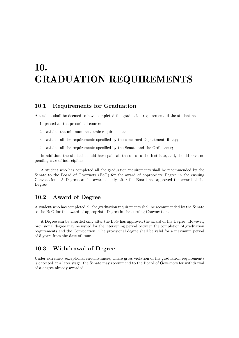## <span id="page-23-0"></span>10. GRADUATION REQUIREMENTS

#### <span id="page-23-1"></span>10.1 Requirements for Graduation

A student shall be deemed to have completed the graduation requirements if the student has:

- 1. passed all the prescribed courses;
- 2. satisfied the minimum academic requirements;
- 3. satisfied all the requirements specified by the concerned Department, if any;
- 4. satisfied all the requirements specified by the Senate and the Ordinances;

In addition, the student should have paid all the dues to the Institute, and, should have no pending case of indiscipline.

A student who has completed all the graduation requirements shall be recommended by the Senate to the Board of Governors (BoG) for the award of appropriate Degree in the ensuing Convocation. A Degree can be awarded only after the Board has approved the award of the Degree.

#### <span id="page-23-2"></span>10.2 Award of Degree

A student who has completed all the graduation requirements shall be recommended by the Senate to the BoG for the award of appropriate Degree in the ensuing Convocation.

A Degree can be awarded only after the BoG has approved the award of the Degree. However, provisional degree may be issued for the intervening period between the completion of graduation requirements and the Convocation. The provisional degree shall be valid for a maximum period of 5 years from the date of issue.

#### <span id="page-23-3"></span>10.3 Withdrawal of Degree

Under extremely exceptional circumstances, where gross violation of the graduation requirements is detected at a later stage, the Senate may recommend to the Board of Governors for withdrawal of a degree already awarded.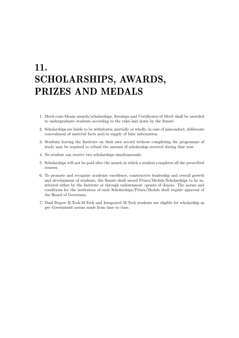# <span id="page-24-0"></span>11. SCHOLARSHIPS, AWARDS, PRIZES AND MEDALS

- 1. Merit-cum-Means awards/scholarships, freeships and Certificates of Merit shall be awarded to undergraduate students according to the rules laid down by the Senate.
- 2. Scholarships are liable to be withdrawn, partially or wholly, in case of misconduct, deliberate concealment of material facts and/or supply of false information.
- 3. Students leaving the Institute on their own accord without completing the programme of study may be required to refund the amount of scholarship received during that year.
- 4. No student can receive two scholarships simultaneously.
- 5. Scholarships will not be paid after the month in which a student completes all the prescribed courses.
- 6. To promote and recognize academic excellence, constructive leadership and overall growth and development of students, the Senate shall award Prizes/Medals/Scholarships to be instituted either by the Institute or through endownment /grants of donors. The norms and conditions for the institution of such Scholarships/Prizes/Medals shall require approval of the Board of Governors.
- 7. Dual Degree B.Tech-M.Tech and Integrated M.Tech students are eligible for scholarship as per Government norms made from time to time.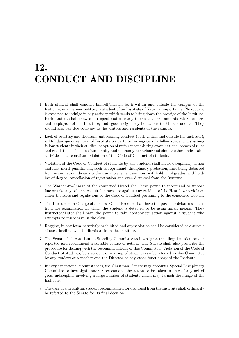# <span id="page-25-0"></span>12. CONDUCT AND DISCIPLINE

- 1. Each student shall conduct himself/herself, both within and outside the campus of the Institute, in a manner befitting a student of an Institute of National importance. No student is expected to indulge in any activity which tends to bring down the prestige of the Institute. Each student shall show due respect and courtesy to the teachers, administrators, officers and employees of the Institute; and, good neighborly behaviour to fellow students. They should also pay due courtesy to the visitors and residents of the campus.
- 2. Lack of courtesy and decorum; unbecoming conduct (both within and outside the Institute); willful damage or removal of Institute property or belongings of a fellow student; disturbing fellow students in their studies; adoption of unfair means during examinations; breach of rules and regulations of the Institute; noisy and unseemly behaviour and similar other undesirable activities shall constitute violation of the Code of Conduct of students.
- 3. Violation of the Code of Conduct of students by any student, shall invite disciplinary action and may merit punishment, such as reprimand, disciplinary probation, fine, being debarred from examination, debarring the use of placement services, withholding of grades, withholding of degree, cancellation of registration and even dismissal from the Institute.
- 4. The Warden-in-Charge of the concerned Hostel shall have power to reprimand or impose fine or take any other such suitable measure against any resident of the Hostel, who violates either the rules and regulations or the Code of Conduct pertaining to the concerned Hostels.
- 5. The Instructor-in-Charge of a course/Chief Proctor shall have the power to debar a student from the examination in which the student is detected to be using unfair means. They Instructor/Tutor shall have the power to take appropriate action against a student who attempts to misbehave in the class.
- 6. Ragging, in any form, is strictly prohibited and any violation shall be considered as a serious offence, leading even to dismissal from the Institute.
- 7. The Senate shall constitute a Standing Committee to investigate the alleged misdemeanour reported and recommend a suitable course of action. The Senate shall also prescribe the procedure for dealing with the recommendations of this Committee. Violation of the Code of Conduct of students, by a student or a group of students can be referred to this Committee by any student or a teacher and the Director or any other functionary of the Institute.
- 8. In very exceptional circumstances, the Chairman, Senate may appoint a Special Disciplinary Committee to investigate and/or recommend the action to be taken in case of any act of gross indiscipline involving a large number of students which may tarnish the image of the Institute.
- 9. The case of a defaulting student recommended for dismissal from the Institute shall ordinarily be referred to the Senate for its final decision.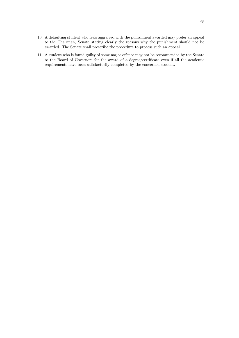- 10. A defaulting student who feels aggreived with the punishment awarded may prefer an appeal to the Chairman, Senate stating clearly the reasons why the punishment should not be awarded. The Senate shall prescribe the procedure to process such an appeal.
- 11. A student who is found guilty of some major offence may not be recommended by the Senate to the Board of Governors for the award of a degree/certificate even if all the academic requirements have been satisfactorily completed by the concerned student.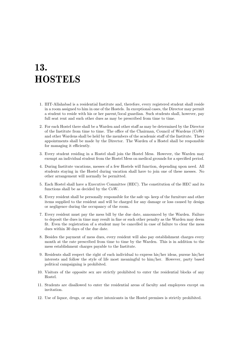# <span id="page-27-0"></span>13. **HOSTELS**

- 1. IIIT-Allahabad is a residential Institute and, therefore, every registered student shall reside in a room assigned to him in one of the Hostels. In exceptional cases, the Director may permit a student to reside with his or her parent/local guardian. Such students shall, however, pay full seat rent and such other dues as may be prescribed from time to time.
- 2. For each Hostel there shall be a Warden and other staff as may be determined by the Director of the Institute from time to time. The office of the Chairman, Council of Wardens (CoW) and other Wardens shall be held by the members of the academic staff of the Institute. These appointments shall be made by the Director. The Warden of a Hostel shall be responsible for managing it efficiently.
- 3. Every student residing in a Hostel shall join the Hostel Mess. However, the Warden may exempt an individual student from the Hostel Mess on medical grounds for a specified period.
- 4. During Institute vacations, messes of a few Hostels will function, depending upon need. All students staying in the Hostel during vacation shall have to join one of these messes. No other arrangement will normally be permitted.
- 5. Each Hostel shall have a Executive Committee (HEC). The constitution of the HEC and its functions shall be as decided by the CoW.
- 6. Every resident shall be personally responsible for the safe up- keep of the furniture and other items supplied to the resident and will be charged for any damage or loss caused by design or negligence during the occupancy of the room.
- 7. Every resident must pay the mess bill by the due date, announced by the Warden. Failure to deposit the dues in time may result in fine or such other penalty as the Warden may deem fit. Even the registration of a student may be cancelled in case of failure to clear the mess dues within 30 days of the due date.
- 8. Besides the payment of mess dues, every resident will also pay establishment charges every month at the rate prescribed from time to time by the Warden. This is in addition to the mess establishment charges payable to the Institute.
- 9. Residents shall respect the right of each individual to express his/her ideas, pursue his/her interests and follow the style of life most meaningful to him/her. However, party based political campaigning is prohibited.
- 10. Visitors of the opposite sex are strictly prohibited to enter the residential blocks of any Hostel.
- 11. Students are disallowed to enter the residential areas of faculty and employees except on invitation.
- 12. Use of liquor, drugs, or any other intoxicants in the Hostel premises is strictly prohibited.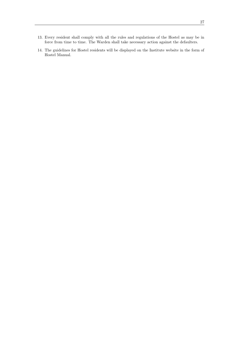- 13. Every resident shall comply with all the rules and regulations of the Hostel as may be in force from time to time. The Warden shall take necessary action against the defaulters.
- 14. The guidelines for Hostel residents will be displayed on the Institute website in the form of Hostel Manual.